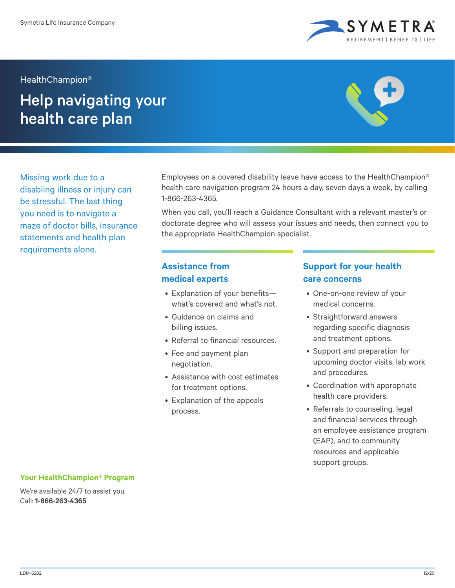

#### HealthChampion®

# Help navigating your health care plan



Missing work due to a disabling illness or injury can be stressful. The last thing you need is to navigate a maze of doctor bills, insurance statements and health plan requirements alone.

Employees on a covered disability leave have access to the HealthChampion® health care navigation program 24 hours a day, seven days a week, by calling 1-866-263-4365.

When you call, you'll reach a Guidance Consultant with a relevant master's or doctorate degree who will assess your issues and needs, then connect you to the appropriate HealthChampion specialist.

# **Assistance from medical experts**

- Explanation of your benefits what's covered and what's not.
- Guidance on claims and billing issues.
- Referral to financial resources.
- Fee and payment plan negotiation.
- Assistance with cost estimates for treatment options.
- Explanation of the appeals process.

# **Support for your health care concerns**

- One-on-one review of your medical concerns.
- Straightforward answers regarding specific diagnosis and treatment options.
- Support and preparation for upcoming doctor visits, lab work and procedures.
- Coordination with appropriate health care providers.
- Referrals to counseling, legal and financial services through an employee assistance program (EAP), and to community resources and applicable support groups.

### **Your HealthChampion® Program**

We're available 24/7 to assist you. Call: **1-866-263-4365**